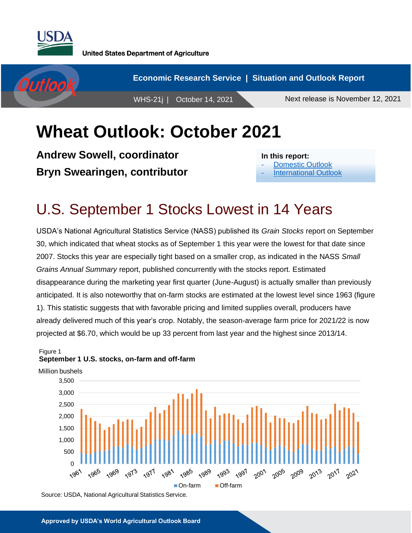



## **Wheat Outlook: October 2021**

**Andrew Sowell, coordinator Bryn Swearingen, contributor**

**In this report:**

- [Domestic Outlook](#page-1-0)
- [International Outlook](#page-4-0)

### U.S. September 1 Stocks Lowest in 14 Years

USDA's National Agricultural Statistics Service (NASS) published its *Grain Stocks* report on September 30, which indicated that wheat stocks as of September 1 this year were the lowest for that date since 2007. Stocks this year are especially tight based on a smaller crop, as indicated in the NASS *Small Grains Annual Summary* report, published concurrently with the stocks report. Estimated disappearance during the marketing year first quarter (June-August) is actually smaller than previously anticipated. It is also noteworthy that on-farm stocks are estimated at the lowest level since 1963 (figure 1). This statistic suggests that with favorable pricing and limited supplies overall, producers have already delivered much of this year's crop. Notably, the season-average farm price for 2021/22 is now projected at \$6.70, which would be up 33 percent from last year and the highest since 2013/14.





Source: USDA, National Agricultural Statistics Service.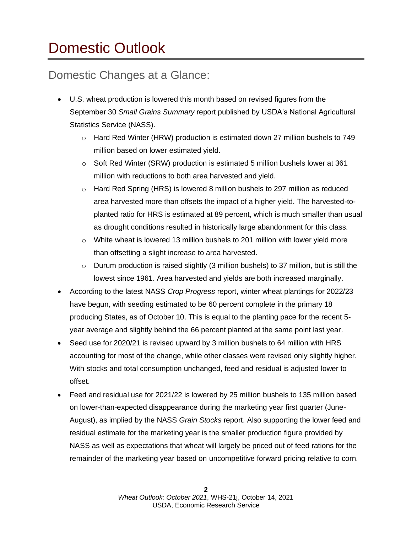# <span id="page-1-0"></span>Domestic Outlook

#### Domestic Changes at a Glance:

- U.S. wheat production is lowered this month based on revised figures from the September 30 *Small Grains Summary* report published by USDA's National Agricultural Statistics Service (NASS).
	- $\circ$  Hard Red Winter (HRW) production is estimated down 27 million bushels to 749 million based on lower estimated yield.
	- o Soft Red Winter (SRW) production is estimated 5 million bushels lower at 361 million with reductions to both area harvested and yield.
	- o Hard Red Spring (HRS) is lowered 8 million bushels to 297 million as reduced area harvested more than offsets the impact of a higher yield. The harvested-toplanted ratio for HRS is estimated at 89 percent, which is much smaller than usual as drought conditions resulted in historically large abandonment for this class.
	- $\circ$  White wheat is lowered 13 million bushels to 201 million with lower yield more than offsetting a slight increase to area harvested.
	- $\circ$  Durum production is raised slightly (3 million bushels) to 37 million, but is still the lowest since 1961. Area harvested and yields are both increased marginally.
- According to the latest NASS *Crop Progress* report, winter wheat plantings for 2022/23 have begun, with seeding estimated to be 60 percent complete in the primary 18 producing States, as of October 10. This is equal to the planting pace for the recent 5 year average and slightly behind the 66 percent planted at the same point last year.
- Seed use for 2020/21 is revised upward by 3 million bushels to 64 million with HRS accounting for most of the change, while other classes were revised only slightly higher. With stocks and total consumption unchanged, feed and residual is adjusted lower to offset.
- Feed and residual use for 2021/22 is lowered by 25 million bushels to 135 million based on lower-than-expected disappearance during the marketing year first quarter (June-August), as implied by the NASS *Grain Stocks* report. Also supporting the lower feed and residual estimate for the marketing year is the smaller production figure provided by NASS as well as expectations that wheat will largely be priced out of feed rations for the remainder of the marketing year based on uncompetitive forward pricing relative to corn.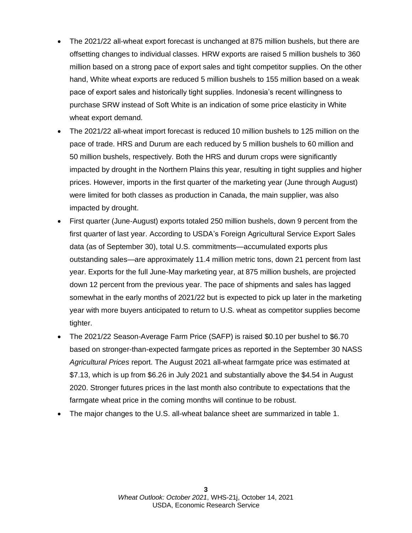- The 2021/22 all-wheat export forecast is unchanged at 875 million bushels, but there are offsetting changes to individual classes. HRW exports are raised 5 million bushels to 360 million based on a strong pace of export sales and tight competitor supplies. On the other hand, White wheat exports are reduced 5 million bushels to 155 million based on a weak pace of export sales and historically tight supplies. Indonesia's recent willingness to purchase SRW instead of Soft White is an indication of some price elasticity in White wheat export demand.
- The 2021/22 all-wheat import forecast is reduced 10 million bushels to 125 million on the pace of trade. HRS and Durum are each reduced by 5 million bushels to 60 million and 50 million bushels, respectively. Both the HRS and durum crops were significantly impacted by drought in the Northern Plains this year, resulting in tight supplies and higher prices. However, imports in the first quarter of the marketing year (June through August) were limited for both classes as production in Canada, the main supplier, was also impacted by drought.
- First quarter (June-August) exports totaled 250 million bushels, down 9 percent from the first quarter of last year. According to USDA's Foreign Agricultural Service Export Sales data (as of September 30), total U.S. commitments—accumulated exports plus outstanding sales—are approximately 11.4 million metric tons, down 21 percent from last year. Exports for the full June-May marketing year, at 875 million bushels, are projected down 12 percent from the previous year. The pace of shipments and sales has lagged somewhat in the early months of 2021/22 but is expected to pick up later in the marketing year with more buyers anticipated to return to U.S. wheat as competitor supplies become tighter.
- The 2021/22 Season-Average Farm Price (SAFP) is raised \$0.10 per bushel to \$6.70 based on stronger-than-expected farmgate prices as reported in the September 30 NASS *Agricultural Prices* report. The August 2021 all-wheat farmgate price was estimated at \$7.13, which is up from \$6.26 in July 2021 and substantially above the \$4.54 in August 2020. Stronger futures prices in the last month also contribute to expectations that the farmgate wheat price in the coming months will continue to be robust.
- The major changes to the U.S. all-wheat balance sheet are summarized in table 1.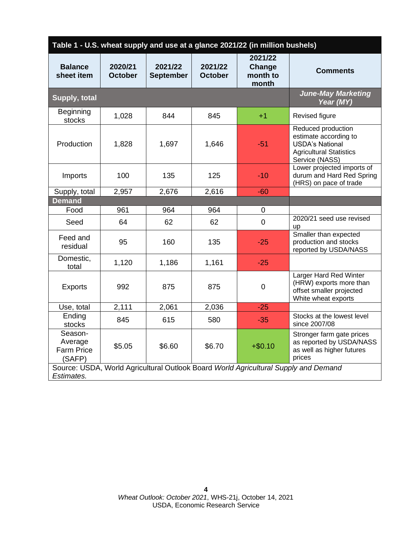| Table 1 - U.S. wheat supply and use at a glance 2021/22 (in million bushels)                      |                           |                             |                                                                     |             |                                                                                                                           |  |  |  |  |
|---------------------------------------------------------------------------------------------------|---------------------------|-----------------------------|---------------------------------------------------------------------|-------------|---------------------------------------------------------------------------------------------------------------------------|--|--|--|--|
| <b>Balance</b><br>sheet item                                                                      | 2020/21<br><b>October</b> | 2021/22<br><b>September</b> | 2021/22<br>2021/22<br>Change<br>month to<br><b>October</b><br>month |             | <b>Comments</b>                                                                                                           |  |  |  |  |
| <b>Supply, total</b>                                                                              |                           |                             |                                                                     |             | <b>June-May Marketing</b><br>Year (MY)                                                                                    |  |  |  |  |
| <b>Beginning</b><br>stocks                                                                        | 1,028                     | 844                         | 845                                                                 | $+1$        | Revised figure                                                                                                            |  |  |  |  |
| Production                                                                                        | 1,828                     | 1,697                       | 1,646                                                               | $-51$       | Reduced production<br>estimate according to<br><b>USDA's National</b><br><b>Agricultural Statistics</b><br>Service (NASS) |  |  |  |  |
| Imports                                                                                           | 100                       | 135                         | 125                                                                 | $-10$       | Lower projected imports of<br>durum and Hard Red Spring<br>(HRS) on pace of trade                                         |  |  |  |  |
| Supply, total                                                                                     | 2,957                     | 2,676                       | 2,616                                                               | $-60$       |                                                                                                                           |  |  |  |  |
| <b>Demand</b>                                                                                     |                           |                             |                                                                     |             |                                                                                                                           |  |  |  |  |
| Food                                                                                              | 961                       | 964                         | 964                                                                 | $\mathbf 0$ |                                                                                                                           |  |  |  |  |
| Seed                                                                                              | 64                        | 62                          | 62                                                                  | $\mathbf 0$ | 2020/21 seed use revised<br><b>up</b>                                                                                     |  |  |  |  |
| Feed and<br>residual                                                                              | 95                        | 160                         | 135                                                                 | $-25$       | Smaller than expected<br>production and stocks<br>reported by USDA/NASS                                                   |  |  |  |  |
| Domestic,<br>total                                                                                | 1,120                     | 1,186                       | 1,161                                                               | $-25$       |                                                                                                                           |  |  |  |  |
| <b>Exports</b>                                                                                    | 992                       | 875                         | 875                                                                 | $\mathbf 0$ | Larger Hard Red Winter<br>(HRW) exports more than<br>offset smaller projected<br>White wheat exports                      |  |  |  |  |
| Use, total                                                                                        | 2,111                     | 2,061                       | 2,036                                                               | $-25$       |                                                                                                                           |  |  |  |  |
| Ending<br>stocks                                                                                  | 845                       | 615                         | 580                                                                 | $-35$       | Stocks at the lowest level<br>since 2007/08                                                                               |  |  |  |  |
| Season-<br>Average<br><b>Farm Price</b><br>(SAFP)                                                 | \$5.05                    | \$6.60                      | \$6.70                                                              | $+ $0.10$   | Stronger farm gate prices<br>as reported by USDA/NASS<br>as well as higher futures<br>prices                              |  |  |  |  |
| Source: USDA, World Agricultural Outlook Board World Agricultural Supply and Demand<br>Estimates. |                           |                             |                                                                     |             |                                                                                                                           |  |  |  |  |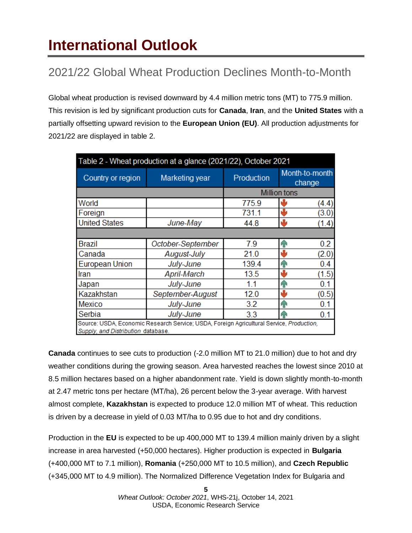# <span id="page-4-0"></span>**International Outlook**

### 2021/22 Global Wheat Production Declines Month-to-Month

Global wheat production is revised downward by 4.4 million metric tons (MT) to 775.9 million. This revision is led by significant production cuts for **Canada**, **Iran**, and the **United States** with a partially offsetting upward revision to the **European Union (EU)**. All production adjustments for 2021/22 are displayed in table 2.

| Table 2 - Wheat production at a glance (2021/22), October 2021                                                                 |                   |                     |                          |  |  |  |  |
|--------------------------------------------------------------------------------------------------------------------------------|-------------------|---------------------|--------------------------|--|--|--|--|
| Country or region                                                                                                              | Marketing year    | Production          | Month-to-month<br>change |  |  |  |  |
|                                                                                                                                |                   | <b>Million tons</b> |                          |  |  |  |  |
| World                                                                                                                          |                   | 775.9               | (4.4)                    |  |  |  |  |
| Foreign                                                                                                                        |                   | 731.1               | ۸Ŀ<br>(3.0)              |  |  |  |  |
| <b>United States</b>                                                                                                           | June-May          | 44.8                | $\mathbf{v}$<br>(1.4)    |  |  |  |  |
|                                                                                                                                |                   |                     |                          |  |  |  |  |
| <b>Brazil</b>                                                                                                                  | October-September | 7.9                 | 0.2<br>h P               |  |  |  |  |
| Canada                                                                                                                         | August-July       | 21.0                | ۸Ŀ<br>(2.0)              |  |  |  |  |
| <b>European Union</b>                                                                                                          | July-June         | 139.4               | 0.4<br>h P               |  |  |  |  |
| Iran                                                                                                                           | April-March       | 13.5                | ۸L<br>(1.5)              |  |  |  |  |
| Japan                                                                                                                          | July-June         | 1.1                 | 0.1<br>P P               |  |  |  |  |
| Kazakhstan                                                                                                                     | September-August  | 12.0                | راج<br>(0.5)             |  |  |  |  |
| Mexico                                                                                                                         | July-June         | 3.2                 | 0.1<br>h P               |  |  |  |  |
| Serbia                                                                                                                         | July-June         | 3.3                 | 0.1<br>ЙN                |  |  |  |  |
| Source: USDA, Economic Research Service; USDA, Foreign Agricultural Service, Production,<br>Supply, and Distribution database. |                   |                     |                          |  |  |  |  |

**Canada** continues to see cuts to production (-2.0 million MT to 21.0 million) due to hot and dry weather conditions during the growing season. Area harvested reaches the lowest since 2010 at 8.5 million hectares based on a higher abandonment rate. Yield is down slightly month-to-month at 2.47 metric tons per hectare (MT/ha), 26 percent below the 3-year average. With harvest almost complete, **Kazakhstan** is expected to produce 12.0 million MT of wheat. This reduction is driven by a decrease in yield of 0.03 MT/ha to 0.95 due to hot and dry conditions.

Production in the **EU** is expected to be up 400,000 MT to 139.4 million mainly driven by a slight increase in area harvested (+50,000 hectares). Higher production is expected in **Bulgaria**  (+400,000 MT to 7.1 million), **Romania** (+250,000 MT to 10.5 million), and **Czech Republic**  (+345,000 MT to 4.9 million). The Normalized Difference Vegetation Index for Bulgaria and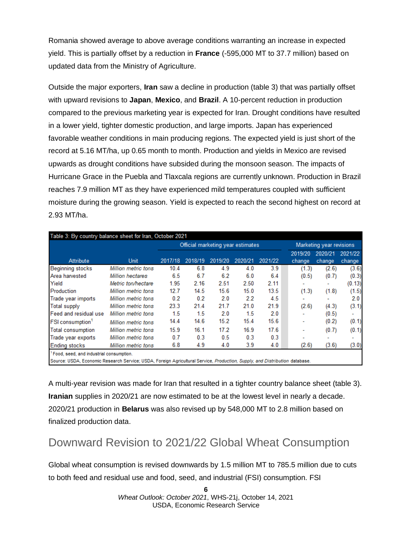Romania showed average to above average conditions warranting an increase in expected yield. This is partially offset by a reduction in **France** (-595,000 MT to 37.7 million) based on updated data from the Ministry of Agriculture.

Outside the major exporters, **Iran** saw a decline in production (table 3) that was partially offset with upward revisions to **Japan**, **Mexico**, and **Brazil**. A 10-percent reduction in production compared to the previous marketing year is expected for Iran. Drought conditions have resulted in a lower yield, tighter domestic production, and large imports. Japan has experienced favorable weather conditions in main producing regions. The expected yield is just short of the record at 5.16 MT/ha, up 0.65 month to month. Production and yields in Mexico are revised upwards as drought conditions have subsided during the monsoon season. The impacts of Hurricane Grace in the Puebla and Tlaxcala regions are currently unknown. Production in Brazil reaches 7.9 million MT as they have experienced mild temperatures coupled with sufficient moisture during the growing season. Yield is expected to reach the second highest on record at 2.93 MT/ha.

|                                     |                     | Official marketing year estimates |         |         |         | Marketing year revisions |                   |                   |                   |
|-------------------------------------|---------------------|-----------------------------------|---------|---------|---------|--------------------------|-------------------|-------------------|-------------------|
| Attribute                           | Unit                | 2017/18                           | 2018/19 | 2019/20 | 2020/21 | 2021/22                  | 2019/20<br>change | 2020/21<br>change | 2021/22<br>change |
| <b>Beginning stocks</b>             | Million metric tons | 10.4                              | 6.8     | 4.9     | 4.0     | 3.9                      | (1.3)             | (2.6)             | (3.6)             |
| Area harvested                      | Million hectares    | 6.5                               | 6.7     | 6.2     | 6.0     | 6.4                      | (0.5)             | (0.7)             | (0.3)             |
| Yield                               | Metric ton/hectare  | 1.95                              | 2.16    | 2.51    | 2.50    | 2.11                     |                   | ۰                 | (0.13)            |
| Production                          | Million metric tons | 12.7                              | 14.5    | 15.6    | 15.0    | 13.5                     | (1.3)             | (1.8)             | (1.5)             |
| Trade year imports                  | Million metric tons | 0.2                               | 0.2     | 2.0     | 2.2     | 4.5                      |                   |                   | 2.0 <sub>1</sub>  |
| <b>Total supply</b>                 | Million metric tons | 23.3                              | 21.4    | 21.7    | 21.0    | 21.9                     | (2.6)             | (4.3)             | (3.1)             |
| Feed and residual use               | Million metric tons | 1.5                               | 1.5     | 2.0     | 1.5     | 2.0                      |                   | (0.5)             | ٠                 |
| <b>FSI</b> consumption <sup>1</sup> | Million metric tons | 14.4                              | 14.6    | 15.2    | 15.4    | 15.6                     |                   | (0.2)             | (0.1)             |
| <b>Total consumption</b>            | Million metric tons | 15.9                              | 16.1    | 17.2    | 16.9    | 17.6                     |                   | (0.7)             | (0.1)             |
| Trade year exports                  | Million metric tons | 0.7                               | 0.3     | 0.5     | 0.3     | 0.3                      |                   |                   | ۰                 |
| <b>Ending stocks</b>                | Million metric tons | 6.8                               | 4.9     | 4.0     | 3.9     | 4.0                      | (2.6)             | (3.6)             | (3.0)             |

A multi-year revision was made for Iran that resulted in a tighter country balance sheet (table 3). **Iranian** supplies in 2020/21 are now estimated to be at the lowest level in nearly a decade. 2020/21 production in **Belarus** was also revised up by 548,000 MT to 2.8 million based on finalized production data.

#### Downward Revision to 2021/22 Global Wheat Consumption

Global wheat consumption is revised downwards by 1.5 million MT to 785.5 million due to cuts to both feed and residual use and food, seed, and industrial (FSI) consumption. FSI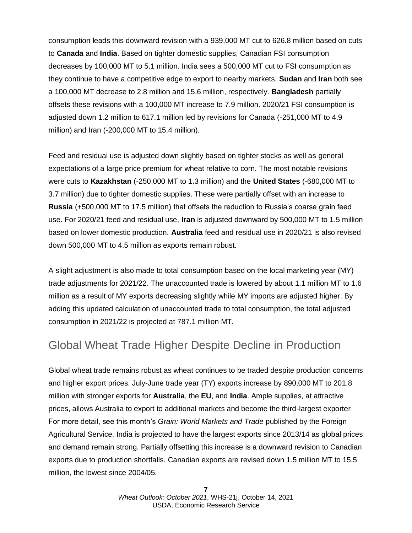consumption leads this downward revision with a 939,000 MT cut to 626.8 million based on cuts to **Canada** and **India**. Based on tighter domestic supplies, Canadian FSI consumption decreases by 100,000 MT to 5.1 million. India sees a 500,000 MT cut to FSI consumption as they continue to have a competitive edge to export to nearby markets. **Sudan** and **Iran** both see a 100,000 MT decrease to 2.8 million and 15.6 million, respectively. **Bangladesh** partially offsets these revisions with a 100,000 MT increase to 7.9 million. 2020/21 FSI consumption is adjusted down 1.2 million to 617.1 million led by revisions for Canada (-251,000 MT to 4.9 million) and Iran (-200,000 MT to 15.4 million).

Feed and residual use is adjusted down slightly based on tighter stocks as well as general expectations of a large price premium for wheat relative to corn. The most notable revisions were cuts to **Kazakhstan** (-250,000 MT to 1.3 million) and the **United States** (-680,000 MT to 3.7 million) due to tighter domestic supplies. These were partially offset with an increase to **Russia** (+500,000 MT to 17.5 million) that offsets the reduction to Russia's coarse grain feed use. For 2020/21 feed and residual use, **Iran** is adjusted downward by 500,000 MT to 1.5 million based on lower domestic production. **Australia** feed and residual use in 2020/21 is also revised down 500,000 MT to 4.5 million as exports remain robust.

A slight adjustment is also made to total consumption based on the local marketing year (MY) trade adjustments for 2021/22. The unaccounted trade is lowered by about 1.1 million MT to 1.6 million as a result of MY exports decreasing slightly while MY imports are adjusted higher. By adding this updated calculation of unaccounted trade to total consumption, the total adjusted consumption in 2021/22 is projected at 787.1 million MT.

#### Global Wheat Trade Higher Despite Decline in Production

Global wheat trade remains robust as wheat continues to be traded despite production concerns and higher export prices. July-June trade year (TY) exports increase by 890,000 MT to 201.8 million with stronger exports for **Australia**, the **EU**, and **India**. Ample supplies, at attractive prices, allows Australia to export to additional markets and become the third-largest exporter For more detail, see this month's *Grain: World Markets and Trade* published by the Foreign Agricultural Service. India is projected to have the largest exports since 2013/14 as global prices and demand remain strong. Partially offsetting this increase is a downward revision to Canadian exports due to production shortfalls. Canadian exports are revised down 1.5 million MT to 15.5 million, the lowest since 2004/05.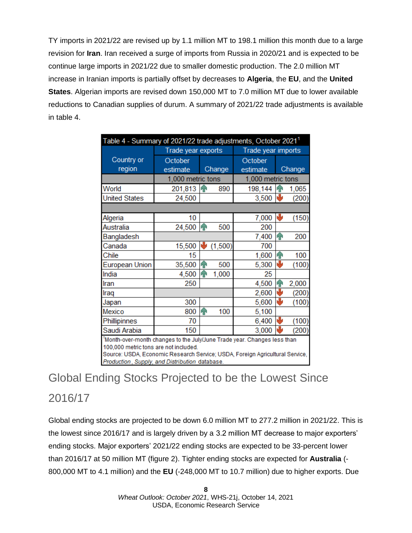TY imports in 2021/22 are revised up by 1.1 million MT to 198.1 million this month due to a large revision for **Iran**. Iran received a surge of imports from Russia in 2020/21 and is expected to be continue large imports in 2021/22 due to smaller domestic production. The 2.0 million MT increase in Iranian imports is partially offset by decreases to **Algeria**, the **EU**, and the **United States**. Algerian imports are revised down 150,000 MT to 7.0 million MT due to lower available reductions to Canadian supplies of durum. A summary of 2021/22 trade adjustments is available in table 4.

| Table 4 - Summary of 2021/22 trade adjustments, October 2021 <sup>1</sup>                                                      |                    |              |                    |                   |               |       |  |  |
|--------------------------------------------------------------------------------------------------------------------------------|--------------------|--------------|--------------------|-------------------|---------------|-------|--|--|
|                                                                                                                                | Trade year exports |              | Trade year imports |                   |               |       |  |  |
| Country or                                                                                                                     | October            |              |                    | October           |               |       |  |  |
| region                                                                                                                         | estimate           |              | Change             | estimate          | Change        |       |  |  |
|                                                                                                                                | 1,000 metric tons  |              |                    | 1,000 metric tons |               |       |  |  |
| World                                                                                                                          | 201,813            | <b>In</b>    | 890                | 198,144           | ИN            | 1,065 |  |  |
| <b>United States</b>                                                                                                           | 24,500             |              |                    | 3,500             | NЫ            | (200) |  |  |
|                                                                                                                                |                    |              |                    |                   |               |       |  |  |
| Algeria                                                                                                                        | 10                 |              |                    | 7,000             | ₩             | (150) |  |  |
| Australia                                                                                                                      | 24,500             | h            | 500                | 200               |               |       |  |  |
| Bangladesh                                                                                                                     |                    |              |                    | 7,400             | q,            | 200   |  |  |
| Canada                                                                                                                         | 15,500             | ۷b           | (1,500)            | 700               |               |       |  |  |
| Chile                                                                                                                          | 15                 |              |                    | 1,600             | $\bf \hat{P}$ | 100   |  |  |
| European Union                                                                                                                 | 35,500             | h            | 500                | 5,300             | ₩             | (100) |  |  |
| India                                                                                                                          | 4,500              | $\mathbf{P}$ | 1,000              | 25                |               |       |  |  |
| Iran                                                                                                                           | 250                |              |                    | 4,500             | ⋒             | 2,000 |  |  |
| Iraq                                                                                                                           |                    |              |                    | 2,600             | ₩             | (200) |  |  |
| Japan                                                                                                                          | 300                |              |                    | 5,600             | ₩             | (100) |  |  |
| Mexico                                                                                                                         | 800                | $\bigcap$    | 100                | 5,100             |               |       |  |  |
| Phillipinnes                                                                                                                   | 70                 |              |                    | 6,400             | ψ             | (100) |  |  |
| Saudi Arabia                                                                                                                   | 150                |              |                    | 3,000             |               | (200) |  |  |
| Month-over-month changes to the July/June Trade year. Changes less than                                                        |                    |              |                    |                   |               |       |  |  |
| 100,000 metric tons are not included.                                                                                          |                    |              |                    |                   |               |       |  |  |
| Source: USDA, Economic Research Service; USDA, Foreign Agricultural Service,<br>Production, Supply, and Distribution database. |                    |              |                    |                   |               |       |  |  |

### Global Ending Stocks Projected to be the Lowest Since 2016/17

Global ending stocks are projected to be down 6.0 million MT to 277.2 million in 2021/22. This is the lowest since 2016/17 and is largely driven by a 3.2 million MT decrease to major exporters' ending stocks. Major exporters' 2021/22 ending stocks are expected to be 33-percent lower than 2016/17 at 50 million MT (figure 2). Tighter ending stocks are expected for **Australia** (- 800,000 MT to 4.1 million) and the **EU** (-248,000 MT to 10.7 million) due to higher exports. Due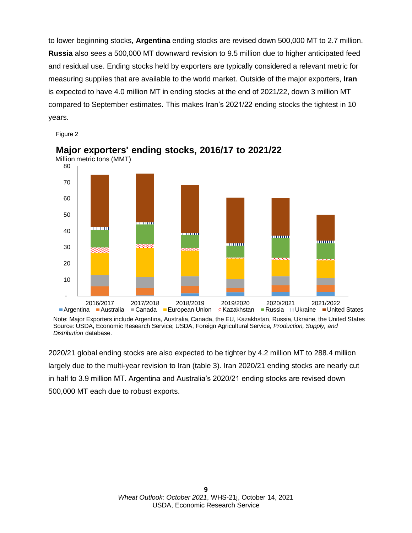to lower beginning stocks, **Argentina** ending stocks are revised down 500,000 MT to 2.7 million. **Russia** also sees a 500,000 MT downward revision to 9.5 million due to higher anticipated feed and residual use. Ending stocks held by exporters are typically considered a relevant metric for measuring supplies that are available to the world market. Outside of the major exporters, **Iran**  is expected to have 4.0 million MT in ending stocks at the end of 2021/22, down 3 million MT compared to September estimates. This makes Iran's 2021/22 ending stocks the tightest in 10 years.

Figure 2



#### **Major exporters' ending stocks, 2016/17 to 2021/22** Million metric tons (MMT)

Note: Major Exporters include Argentina, Australia, Canada, the EU, Kazakhstan, Russia, Ukraine, the United States Source: USDA, Economic Research Service; USDA, Foreign Agricultural Service, *Production, Supply, and Distribution* database.

2020/21 global ending stocks are also expected to be tighter by 4.2 million MT to 288.4 million largely due to the multi-year revision to Iran (table 3). Iran 2020/21 ending stocks are nearly cut in half to 3.9 million MT. Argentina and Australia's 2020/21 ending stocks are revised down 500,000 MT each due to robust exports.